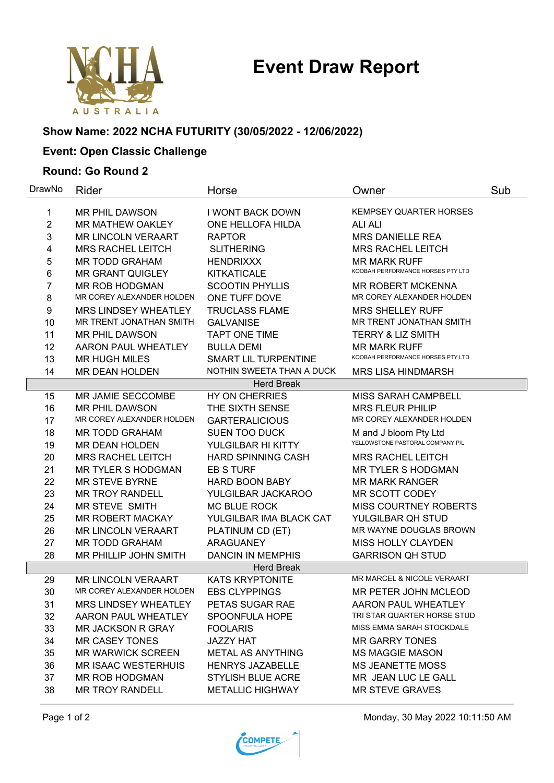# **Event Draw Report**



# **Show Name: 2022 NCHA FUTURITY (30/05/2022 - 12/06/2022)**

## **Event: Open Classic Challenge**

#### **Round: Go Round 2**

| DrawNo            | Rider                       | Horse                       | Owner                             | Sub |  |  |  |
|-------------------|-----------------------------|-----------------------------|-----------------------------------|-----|--|--|--|
| 1                 | <b>MR PHIL DAWSON</b>       | <b>I WONT BACK DOWN</b>     | <b>KEMPSEY QUARTER HORSES</b>     |     |  |  |  |
| $\overline{2}$    | <b>MR MATHEW OAKLEY</b>     | ONE HELLOFA HILDA           | <b>ALI ALI</b>                    |     |  |  |  |
| 3                 | <b>MR LINCOLN VERAART</b>   | <b>RAPTOR</b>               | <b>MRS DANIELLE REA</b>           |     |  |  |  |
| 4                 | <b>MRS RACHEL LEITCH</b>    | <b>SLITHERING</b>           | <b>MRS RACHEL LEITCH</b>          |     |  |  |  |
| 5                 | <b>MR TODD GRAHAM</b>       | <b>HENDRIXXX</b>            | <b>MR MARK RUFF</b>               |     |  |  |  |
| 6                 | <b>MR GRANT QUIGLEY</b>     | <b>KITKATICALE</b>          | KOOBAH PERFORMANCE HORSES PTY LTD |     |  |  |  |
| 7                 | <b>MR ROB HODGMAN</b>       | <b>SCOOTIN PHYLLIS</b>      | MR ROBERT MCKENNA                 |     |  |  |  |
| 8                 | MR COREY ALEXANDER HOLDEN   | ONE TUFF DOVE               | MR COREY ALEXANDER HOLDEN         |     |  |  |  |
| 9                 | MRS LINDSEY WHEATLEY        | <b>TRUCLASS FLAME</b>       | <b>MRS SHELLEY RUFF</b>           |     |  |  |  |
| 10                | MR TRENT JONATHAN SMITH     | <b>GALVANISE</b>            | MR TRENT JONATHAN SMITH           |     |  |  |  |
| 11                | <b>MR PHIL DAWSON</b>       | <b>TAPT ONE TIME</b>        | <b>TERRY &amp; LIZ SMITH</b>      |     |  |  |  |
| 12                | AARON PAUL WHEATLEY         | <b>BULLA DEMI</b>           | <b>MR MARK RUFF</b>               |     |  |  |  |
| 13                | <b>MR HUGH MILES</b>        | <b>SMART LIL TURPENTINE</b> | KOOBAH PERFORMANCE HORSES PTY LTD |     |  |  |  |
| 14                | <b>MR DEAN HOLDEN</b>       | NOTHIN SWEETA THAN A DUCK   | <b>MRS LISA HINDMARSH</b>         |     |  |  |  |
|                   |                             | <b>Herd Break</b>           |                                   |     |  |  |  |
| 15                | MR JAMIE SECCOMBE           | HY ON CHERRIES              | <b>MISS SARAH CAMPBELL</b>        |     |  |  |  |
| 16                | <b>MR PHIL DAWSON</b>       | THE SIXTH SENSE             | <b>MRS FLEUR PHILIP</b>           |     |  |  |  |
| 17                | MR COREY ALEXANDER HOLDEN   | <b>GARTERALICIOUS</b>       | MR COREY ALEXANDER HOLDEN         |     |  |  |  |
| 18                | <b>MR TODD GRAHAM</b>       | <b>SUEN TOO DUCK</b>        | M and J bloom Pty Ltd             |     |  |  |  |
| 19                | MR DEAN HOLDEN              | YULGILBAR HI KITTY          | YELLOWSTONE PASTORAL COMPANY P/L  |     |  |  |  |
| 20                | <b>MRS RACHEL LEITCH</b>    | HARD SPINNING CASH          | <b>MRS RACHEL LEITCH</b>          |     |  |  |  |
| 21                | <b>MR TYLER S HODGMAN</b>   | <b>EB S TURF</b>            | <b>MR TYLER S HODGMAN</b>         |     |  |  |  |
| 22                | <b>MR STEVE BYRNE</b>       | <b>HARD BOON BABY</b>       | <b>MR MARK RANGER</b>             |     |  |  |  |
| 23                | <b>MR TROY RANDELL</b>      | YULGILBAR JACKAROO          | MR SCOTT CODEY                    |     |  |  |  |
| 24                | MR STEVE SMITH              | MC BLUE ROCK                | <b>MISS COURTNEY ROBERTS</b>      |     |  |  |  |
| 25                | <b>MR ROBERT MACKAY</b>     | YULGILBAR IMA BLACK CAT     | YULGILBAR QH STUD                 |     |  |  |  |
| 26                | <b>MR LINCOLN VERAART</b>   | PLATINUM CD (ET)            | MR WAYNE DOUGLAS BROWN            |     |  |  |  |
| 27                | <b>MR TODD GRAHAM</b>       | <b>ARAGUANEY</b>            | MISS HOLLY CLAYDEN                |     |  |  |  |
| 28                | MR PHILLIP JOHN SMITH       | <b>DANCIN IN MEMPHIS</b>    | <b>GARRISON QH STUD</b>           |     |  |  |  |
| <b>Herd Break</b> |                             |                             |                                   |     |  |  |  |
| 29                | <b>MR LINCOLN VERAART</b>   | <b>KATS KRYPTONITE</b>      | MR MARCEL & NICOLE VERAART        |     |  |  |  |
| 30                | MR COREY ALEXANDER HOLDEN   | <b>EBS CLYPPINGS</b>        | MR PETER JOHN MCLEOD              |     |  |  |  |
| 31                | <b>MRS LINDSEY WHEATLEY</b> | PETAS SUGAR RAE             | <b>AARON PAUL WHEATLEY</b>        |     |  |  |  |
| 32                | AARON PAUL WHEATLEY         | SPOONFULA HOPE              | TRI STAR QUARTER HORSE STUD       |     |  |  |  |
| 33                | MR JACKSON R GRAY           | <b>FOOLARIS</b>             | MISS EMMA SARAH STOCKDALE         |     |  |  |  |
| 34                | <b>MR CASEY TONES</b>       | <b>JAZZY HAT</b>            | <b>MR GARRY TONES</b>             |     |  |  |  |
| 35                | <b>MR WARWICK SCREEN</b>    | <b>METAL AS ANYTHING</b>    | <b>MS MAGGIE MASON</b>            |     |  |  |  |
| 36                | <b>MR ISAAC WESTERHUIS</b>  | <b>HENRYS JAZABELLE</b>     | <b>MS JEANETTE MOSS</b>           |     |  |  |  |
| 37                | MR ROB HODGMAN              | <b>STYLISH BLUE ACRE</b>    | MR JEAN LUC LE GALL               |     |  |  |  |
| 38                | <b>MR TROY RANDELL</b>      | <b>METALLIC HIGHWAY</b>     | <b>MR STEVE GRAVES</b>            |     |  |  |  |